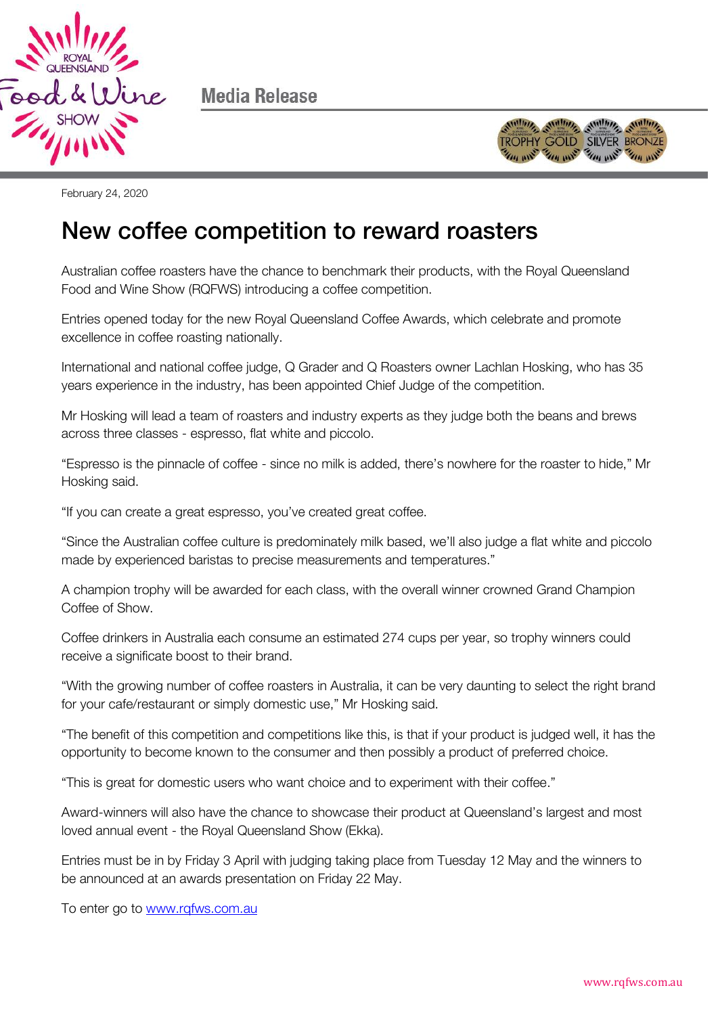

Media Release



February 24, 2020

## New coffee competition to reward roasters

Australian coffee roasters have the chance to benchmark their products, with the Royal Queensland Food and Wine Show (RQFWS) introducing a coffee competition.

Entries opened today for the new Royal Queensland Coffee Awards, which celebrate and promote excellence in coffee roasting nationally.

International and national coffee judge, Q Grader and Q Roasters owner Lachlan Hosking, who has 35 years experience in the industry, has been appointed Chief Judge of the competition.

Mr Hosking will lead a team of roasters and industry experts as they judge both the beans and brews across three classes - espresso, flat white and piccolo.

"Espresso is the pinnacle of coffee - since no milk is added, there's nowhere for the roaster to hide," Mr Hosking said.

"If you can create a great espresso, you've created great coffee.

"Since the Australian coffee culture is predominately milk based, we'll also judge a flat white and piccolo made by experienced baristas to precise measurements and temperatures."

A champion trophy will be awarded for each class, with the overall winner crowned Grand Champion Coffee of Show.

Coffee drinkers in Australia each consume an estimated 274 cups per year, so trophy winners could receive a significate boost to their brand.

"With the growing number of coffee roasters in Australia, it can be very daunting to select the right brand for your cafe/restaurant or simply domestic use," Mr Hosking said.

"The benefit of this competition and competitions like this, is that if your product is judged well, it has the opportunity to become known to the consumer and then possibly a product of preferred choice.

"This is great for domestic users who want choice and to experiment with their coffee."

Award-winners will also have the chance to showcase their product at Queensland's largest and most loved annual event - the Royal Queensland Show (Ekka).

Entries must be in by Friday 3 April with judging taking place from Tuesday 12 May and the winners to be announced at an awards presentation on Friday 22 May.

To enter go to [www.rqfws.com.au](http://www.rqfws.com.au/)